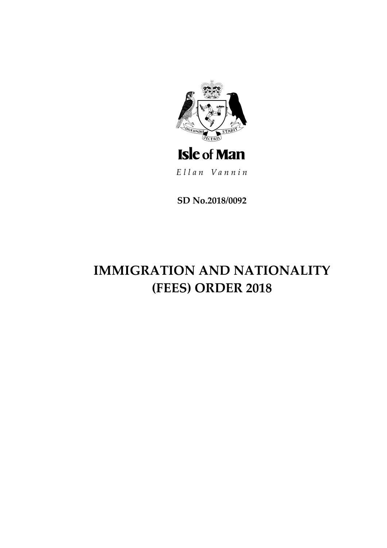

Ellan Vannin

**SD No.2018/0092**

# **IMMIGRATION AND NATIONALITY (FEES) ORDER 2018**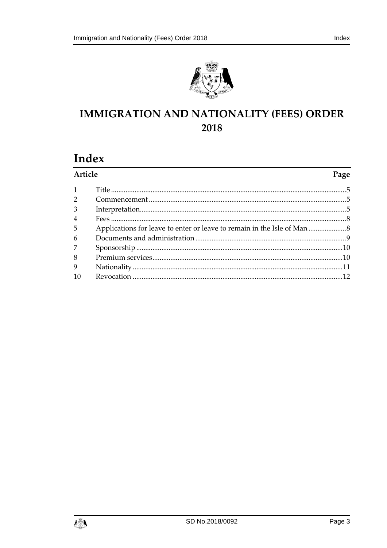



# **IMMIGRATION AND NATIONALITY (FEES) ORDER** 2018

# Index

| Article        | Page |
|----------------|------|
|                |      |
| 2              |      |
| $\overline{3}$ |      |
| $\overline{4}$ |      |
| 5              |      |
| 6              |      |
| 7              |      |
| 8              |      |
| 9              |      |
| 10             |      |

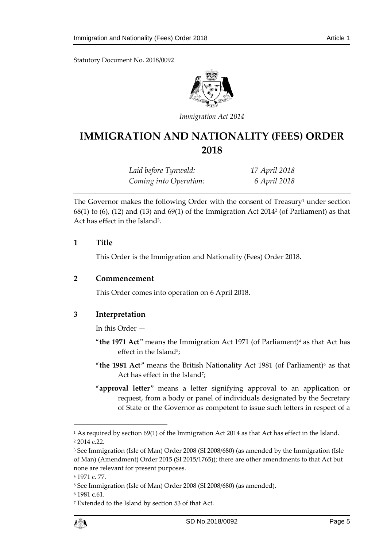Statutory Document No. 2018/0092



*Immigration Act 2014*

# **IMMIGRATION AND NATIONALITY (FEES) ORDER 2018**

| Laid before Tynwald:   | 17 April 2018 |
|------------------------|---------------|
| Coming into Operation: | 6 April 2018  |

The Governor makes the following Order with the consent of Treasury<sup>1</sup> under section 68(1) to (6), (12) and (13) and 69(1) of the Immigration Act 2014<sup>2</sup> (of Parliament) as that Act has effect in the Island<sup>3</sup>.

### <span id="page-4-0"></span>**1 Title**

This Order is the Immigration and Nationality (Fees) Order 2018.

#### <span id="page-4-1"></span>**2 Commencement**

This Order comes into operation on 6 April 2018.

# <span id="page-4-2"></span>**3 Interpretation**

In this Order —

- "the 1971 Act" means the Immigration Act 1971 (of Parliament)<sup>4</sup> as that Act has effect in the Island<sup>5</sup>;
- "**the 1981 Act**" means the British Nationality Act 1981 (of Parliament)<sup>6</sup> as that Act has effect in the Island<sup>7</sup>;
- "**approval letter**" means a letter signifying approval to an application or request, from a body or panel of individuals designated by the Secretary of State or the Governor as competent to issue such letters in respect of a

 $\overline{a}$ 

<sup>7</sup> Extended to the Island by section 53 of that Act.



<sup>1</sup> As required by section 69(1) of the Immigration Act 2014 as that Act has effect in the Island. <sup>2</sup> 2014 c.22.

<sup>3</sup> See Immigration (Isle of Man) Order 2008 (SI 2008/680) (as amended by the Immigration (Isle of Man) (Amendment) Order 2015 (SI 2015/1765)); there are other amendments to that Act but none are relevant for present purposes.

<sup>4</sup> 1971 c. 77.

<sup>5</sup> See Immigration (Isle of Man) Order 2008 (SI 2008/680) (as amended).

<sup>6</sup> 1981 c.61.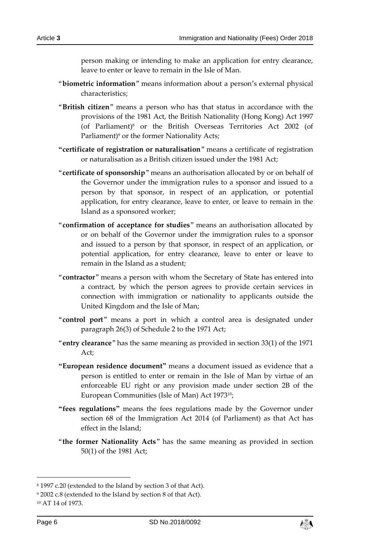person making or intending to make an application for entry clearance, leave to enter or leave to remain in the Isle of Man.

- "**biometric information**" means information about a person's external physical characteristics;
- "**British citizen**" means a person who has that status in accordance with the provisions of the 1981 Act, the British Nationality (Hong Kong) Act 1997 (of Parliament)<sup>8</sup> or the British Overseas Territories Act 2002 (of Parliament)<sup>9</sup> or the former Nationality Acts;
- **"certificate of registration or naturalisation**" means a certificate of registration or naturalisation as a British citizen issued under the 1981 Act;
- "**certificate of sponsorship**" means an authorisation allocated by or on behalf of the Governor under the immigration rules to a sponsor and issued to a person by that sponsor, in respect of an application, or potential application, for entry clearance, leave to enter, or leave to remain in the Island as a sponsored worker;
- "**confirmation of acceptance for studies**" means an authorisation allocated by or on behalf of the Governor under the immigration rules to a sponsor and issued to a person by that sponsor, in respect of an application, or potential application, for entry clearance, leave to enter or leave to remain in the Island as a student;
- "**contractor**" means a person with whom the Secretary of State has entered into a contract, by which the person agrees to provide certain services in connection with immigration or nationality to applicants outside the United Kingdom and the Isle of Man;
- "**control port**" means a port in which a control area is designated under paragraph 26(3) of Schedule 2 to the 1971 Act;
- "**entry clearance**" has the same meaning as provided in section 33(1) of the 1971 Act;
- **"European residence document"** means a document issued as evidence that a person is entitled to enter or remain in the Isle of Man by virtue of an enforceable EU right or any provision made under section 2B of the European Communities (Isle of Man) Act 197310;
- **"fees regulations"** means the fees regulations made by the Governor under section 68 of the Immigration Act 2014 (of Parliament) as that Act has effect in the Island;
- "**the former Nationality Acts**" has the same meaning as provided in section 50(1) of the 1981 Act;

-



<sup>8</sup> 1997 c.20 (extended to the Island by section 3 of that Act).

<sup>9</sup> 2002 c.8 (extended to the Island by section 8 of that Act).

<sup>10</sup> AT 14 of 1973.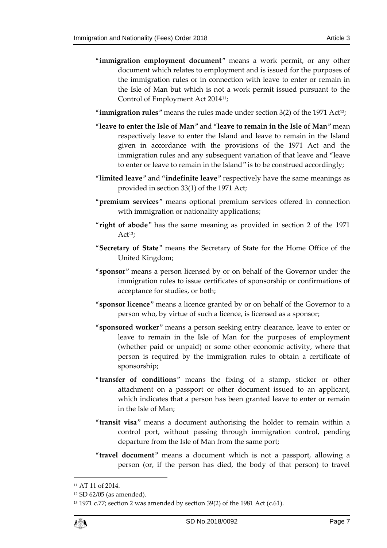- "**immigration employment document**" means a work permit, or any other document which relates to employment and is issued for the purposes of the immigration rules or in connection with leave to enter or remain in the Isle of Man but which is not a work permit issued pursuant to the Control of Employment Act 201411;
- "**immigration rules**" means the rules made under section 3(2) of the 1971 Act<sup>12</sup>;
- "**leave to enter the Isle of Man**" and "**leave to remain in the Isle of Man**" mean respectively leave to enter the Island and leave to remain in the Island given in accordance with the provisions of the 1971 Act and the immigration rules and any subsequent variation of that leave and "leave to enter or leave to remain in the Island" is to be construed accordingly;
- "**limited leave**" and "**indefinite leave**" respectively have the same meanings as provided in section 33(1) of the 1971 Act;
- "**premium services**" means optional premium services offered in connection with immigration or nationality applications;
- "**right of abode**" has the same meaning as provided in section 2 of the 1971 Act<sup>13</sup>;
- "**Secretary of State**" means the Secretary of State for the Home Office of the United Kingdom;
- "**sponsor**" means a person licensed by or on behalf of the Governor under the immigration rules to issue certificates of sponsorship or confirmations of acceptance for studies, or both;
- "**sponsor licence**" means a licence granted by or on behalf of the Governor to a person who, by virtue of such a licence, is licensed as a sponsor;
- "**sponsored worker**" means a person seeking entry clearance, leave to enter or leave to remain in the Isle of Man for the purposes of employment (whether paid or unpaid) or some other economic activity, where that person is required by the immigration rules to obtain a certificate of sponsorship;
- "**transfer of conditions**" means the fixing of a stamp, sticker or other attachment on a passport or other document issued to an applicant, which indicates that a person has been granted leave to enter or remain in the Isle of Man;
- "**transit visa**" means a document authorising the holder to remain within a control port, without passing through immigration control, pending departure from the Isle of Man from the same port;
- "**travel document**" means a document which is not a passport, allowing a person (or, if the person has died, the body of that person) to travel

1

<sup>&</sup>lt;sup>11</sup> AT 11 of 2014.

<sup>12</sup> SD 62/05 (as amended).

<sup>13</sup> 1971 c.77; section 2 was amended by section 39(2) of the 1981 Act (c.61).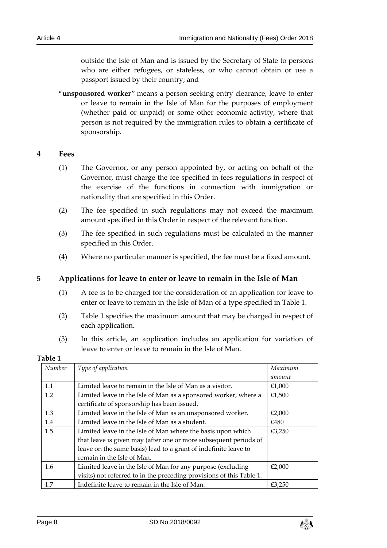outside the Isle of Man and is issued by the Secretary of State to persons who are either refugees, or stateless, or who cannot obtain or use a passport issued by their country; and

"**unsponsored worker**" means a person seeking entry clearance, leave to enter or leave to remain in the Isle of Man for the purposes of employment (whether paid or unpaid) or some other economic activity, where that person is not required by the immigration rules to obtain a certificate of sponsorship.

### <span id="page-7-0"></span>**4 Fees**

- (1) The Governor, or any person appointed by, or acting on behalf of the Governor, must charge the fee specified in fees regulations in respect of the exercise of the functions in connection with immigration or nationality that are specified in this Order.
- (2) The fee specified in such regulations may not exceed the maximum amount specified in this Order in respect of the relevant function.
- (3) The fee specified in such regulations must be calculated in the manner specified in this Order.
- (4) Where no particular manner is specified, the fee must be a fixed amount.

# <span id="page-7-1"></span>**5 Applications for leave to enter or leave to remain in the Isle of Man**

- (1) A fee is to be charged for the consideration of an application for leave to enter or leave to remain in the Isle of Man of a type specified in Table 1.
- (2) Table 1 specifies the maximum amount that may be charged in respect of each application.
- (3) In this article, an application includes an application for variation of leave to enter or leave to remain in the Isle of Man.

#### **Table 1**

| Number | Type of application                                                  | Maximum |
|--------|----------------------------------------------------------------------|---------|
|        |                                                                      | amount  |
| 1.1    | Limited leave to remain in the Isle of Man as a visitor.             | £1,000  |
| 1.2    | Limited leave in the Isle of Man as a sponsored worker, where a      | £1,500  |
|        | certificate of sponsorship has been issued.                          |         |
| 1.3    | Limited leave in the Isle of Man as an unsponsored worker.           | £2,000  |
| 1.4    | Limited leave in the Isle of Man as a student.                       | £480    |
| 1.5    | Limited leave in the Isle of Man where the basis upon which          | £3,250  |
|        | that leave is given may (after one or more subsequent periods of     |         |
|        | leave on the same basis) lead to a grant of indefinite leave to      |         |
|        | remain in the Isle of Man.                                           |         |
| 1.6    | Limited leave in the Isle of Man for any purpose (excluding          | £2,000  |
|        | visits) not referred to in the preceding provisions of this Table 1. |         |
| 1.7    | Indefinite leave to remain in the Isle of Man.                       | £3,250  |

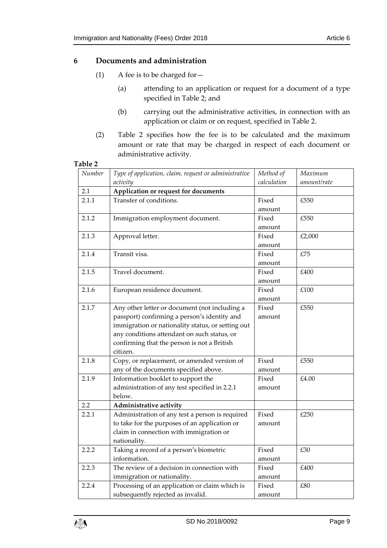### <span id="page-8-0"></span>**6 Documents and administration**

- (1) A fee is to be charged for  $-$ 
	- (a) attending to an application or request for a document of a type specified in Table 2; and
	- (b) carrying out the administrative activities, in connection with an application or claim or on request, specified in Table 2.
- (2) Table 2 specifies how the fee is to be calculated and the maximum amount or rate that may be charged in respect of each document or administrative activity.

# **Table 2**

| Number | Type of application, claim, request or administrative | Method of   | Maximum     |
|--------|-------------------------------------------------------|-------------|-------------|
|        | activity                                              | calculation | amount/rate |
| 2.1    | Application or request for documents                  |             |             |
| 2.1.1  | Transfer of conditions.                               | Fixed       | £550        |
|        |                                                       | amount      |             |
| 2.1.2  | Immigration employment document.                      | Fixed       | £550        |
|        |                                                       | amount      |             |
| 2.1.3  | Approval letter.                                      | Fixed       | £2,000      |
|        |                                                       | amount      |             |
| 2.1.4  | Transit visa.                                         | Fixed       | £75         |
|        |                                                       | amount      |             |
| 2.1.5  | Travel document.                                      | Fixed       | £400        |
|        |                                                       | amount      |             |
| 2.1.6  | European residence document.                          | Fixed       | £100        |
|        |                                                       | amount      |             |
| 2.1.7  | Any other letter or document (not including a         | Fixed       | £550        |
|        | passport) confirming a person's identity and          | amount      |             |
|        | immigration or nationality status, or setting out     |             |             |
|        | any conditions attendant on such status, or           |             |             |
|        | confirming that the person is not a British           |             |             |
|        | citizen.                                              |             |             |
| 2.1.8  | Copy, or replacement, or amended version of           | Fixed       | £550        |
|        | any of the documents specified above.                 | amount      |             |
| 2.1.9  | Information booklet to support the                    | Fixed       | £4.00       |
|        | administration of any test specified in 2.2.1         | amount      |             |
|        | below.                                                |             |             |
| 2.2    | Administrative activity                               |             |             |
| 2.2.1  | Administration of any test a person is required       | Fixed       | £250        |
|        | to take for the purposes of an application or         | amount      |             |
|        | claim in connection with immigration or               |             |             |
|        | nationality.                                          |             |             |
| 2.2.2  | Taking a record of a person's biometric               | Fixed       | £30         |
|        | information.                                          | amount      |             |
| 2.2.3  | The review of a decision in connection with           | Fixed       | £400        |
|        | immigration or nationality.                           | amount      |             |
| 2.2.4  | Processing of an application or claim which is        | Fixed       | £80         |
|        | subsequently rejected as invalid.                     | amount      |             |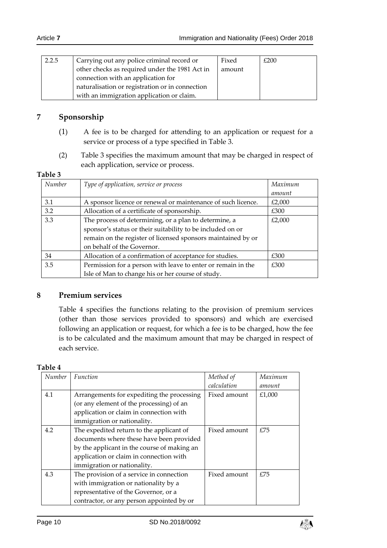| 2.2.5 | Carrying out any police criminal record or      | Fixed  | £200 |
|-------|-------------------------------------------------|--------|------|
|       | other checks as required under the 1981 Act in  | amount |      |
|       | connection with an application for              |        |      |
|       | naturalisation or registration or in connection |        |      |
|       | with an immigration application or claim.       |        |      |

# <span id="page-9-0"></span>**7 Sponsorship**

- (1) A fee is to be charged for attending to an application or request for a service or process of a type specified in Table 3.
- (2) Table 3 specifies the maximum amount that may be charged in respect of each application, service or process.

| Table 3 |  |
|---------|--|
|---------|--|

| Number | Type of application, service or process                      | Maximum |
|--------|--------------------------------------------------------------|---------|
|        |                                                              | amount  |
| 3.1    | A sponsor licence or renewal or maintenance of such licence. | £2,000  |
| 3.2    | Allocation of a certificate of sponsorship.                  | £300    |
| 3.3    | The process of determining, or a plan to determine, a        | £2,000  |
|        | sponsor's status or their suitability to be included on or   |         |
|        | remain on the register of licensed sponsors maintained by or |         |
|        | on behalf of the Governor.                                   |         |
| 34     | Allocation of a confirmation of acceptance for studies.      | £300    |
| 3.5    | Permission for a person with leave to enter or remain in the | £300    |
|        | Isle of Man to change his or her course of study.            |         |

### <span id="page-9-1"></span>**8 Premium services**

Table 4 specifies the functions relating to the provision of premium services (other than those services provided to sponsors) and which are exercised following an application or request, for which a fee is to be charged, how the fee is to be calculated and the maximum amount that may be charged in respect of each service.

| <b>Table</b> | 4 |
|--------------|---|
|--------------|---|

| Number | Function                                    | Method of    | Maximum |
|--------|---------------------------------------------|--------------|---------|
|        |                                             | calculation  | amount  |
| 4.1    | Arrangements for expediting the processing  | Fixed amount | £1,000  |
|        | (or any element of the processing) of an    |              |         |
|        | application or claim in connection with     |              |         |
|        | immigration or nationality.                 |              |         |
| 4.2    | The expedited return to the applicant of    | Fixed amount | £75     |
|        | documents where these have been provided    |              |         |
|        | by the applicant in the course of making an |              |         |
|        | application or claim in connection with     |              |         |
|        | immigration or nationality.                 |              |         |
| 4.3    | The provision of a service in connection    | Fixed amount | £75     |
|        | with immigration or nationality by a        |              |         |
|        | representative of the Governor, or a        |              |         |
|        | contractor, or any person appointed by or   |              |         |

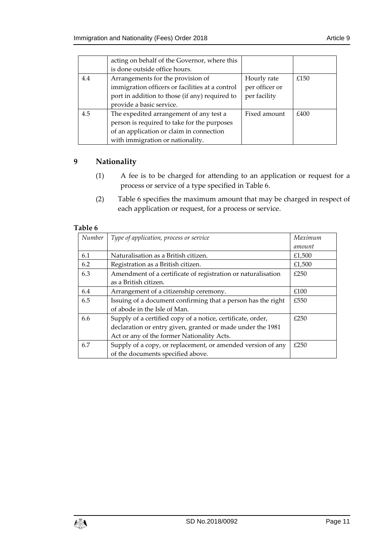|     | acting on behalf of the Governor, where this<br>is done outside office hours.                                                                                          |                                               |      |
|-----|------------------------------------------------------------------------------------------------------------------------------------------------------------------------|-----------------------------------------------|------|
| 4.4 | Arrangements for the provision of<br>immigration officers or facilities at a control<br>port in addition to those (if any) required to<br>provide a basic service.     | Hourly rate<br>per officer or<br>per facility | £150 |
| 4.5 | The expedited arrangement of any test a<br>person is required to take for the purposes<br>of an application or claim in connection<br>with immigration or nationality. | Fixed amount                                  | £400 |

# <span id="page-10-0"></span>**9 Nationality**

- (1) A fee is to be charged for attending to an application or request for a process or service of a type specified in Table 6.
- (2) Table 6 specifies the maximum amount that may be charged in respect of each application or request, for a process or service.

#### **Table 6**

| Number | Type of application, process or service                                                                                                                                 | Maximum<br>amount |
|--------|-------------------------------------------------------------------------------------------------------------------------------------------------------------------------|-------------------|
| 6.1    | Naturalisation as a British citizen.                                                                                                                                    | £1,500            |
| 6.2    | Registration as a British citizen.                                                                                                                                      | £1,500            |
| 6.3    | Amendment of a certificate of registration or naturalisation<br>as a British citizen.                                                                                   | £250              |
| 6.4    | Arrangement of a citizenship ceremony.                                                                                                                                  | £100              |
| 6.5    | Issuing of a document confirming that a person has the right<br>of abode in the Isle of Man.                                                                            | £550              |
| 6.6    | Supply of a certified copy of a notice, certificate, order,<br>declaration or entry given, granted or made under the 1981<br>Act or any of the former Nationality Acts. | £250              |
| 6.7    | Supply of a copy, or replacement, or amended version of any<br>of the documents specified above.                                                                        | £250              |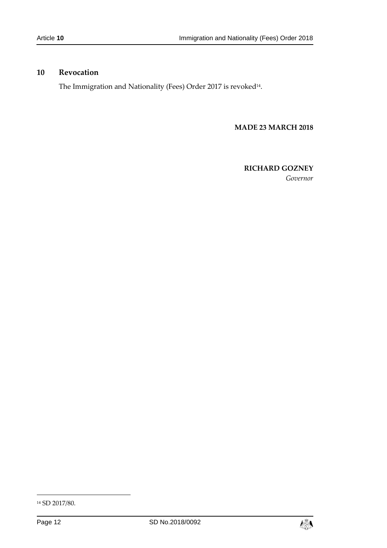### <span id="page-11-0"></span>**10 Revocation**

The Immigration and Nationality (Fees) Order 2017 is revoked $^{\scriptscriptstyle 14}$ .

#### **MADE 23 MARCH 2018**

### **RICHARD GOZNEY**

*Governor*

-



<sup>14</sup> SD 2017/80.